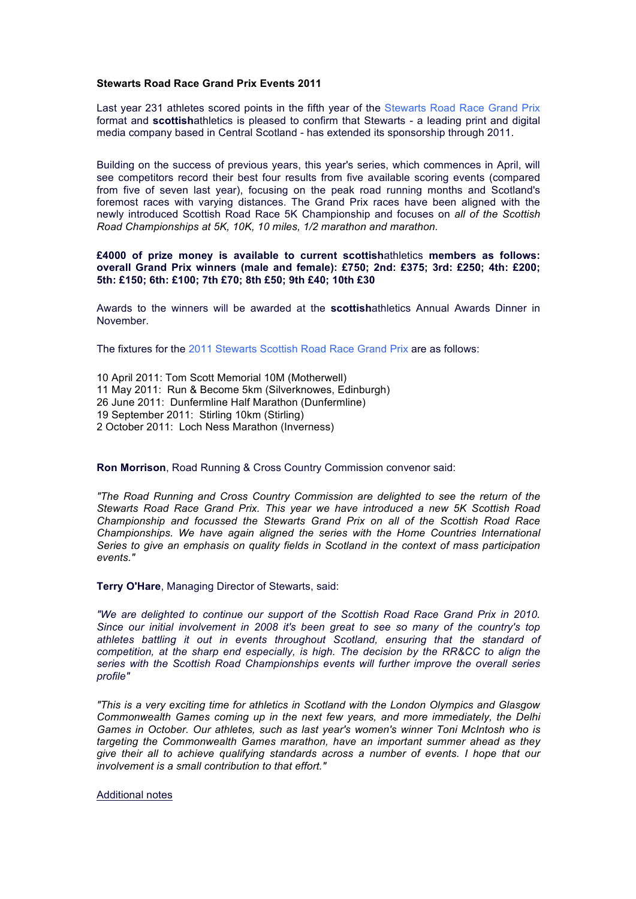## **Stewarts Road Race Grand Prix Events 2011**

Last year 231 athletes scored points in the fifth year of the Stewarts Road Race Grand Prix format and **scottish**athletics is pleased to confirm that Stewarts - a leading print and digital media company based in Central Scotland - has extended its sponsorship through 2011.

Building on the success of previous years, this year's series, which commences in April, will see competitors record their best four results from five available scoring events (compared from five of seven last year), focusing on the peak road running months and Scotland's foremost races with varying distances. The Grand Prix races have been aligned with the newly introduced Scottish Road Race 5K Championship and focuses on *all of the Scottish Road Championships at 5K, 10K, 10 miles, 1/2 marathon and marathon.*

## **£4000 of prize money is available to current scottish**athletics **members as follows: overall Grand Prix winners (male and female): £750; 2nd: £375; 3rd: £250; 4th: £200; 5th: £150; 6th: £100; 7th £70; 8th £50; 9th £40; 10th £30**

Awards to the winners will be awarded at the **scottish**athletics Annual Awards Dinner in November.

The fixtures for the 2011 Stewarts Scottish Road Race Grand Prix are as follows:

10 April 2011: Tom Scott Memorial 10M (Motherwell) 11 May 2011: Run & Become 5km (Silverknowes, Edinburgh) 26 June 2011: Dunfermline Half Marathon (Dunfermline) 19 September 2011: Stirling 10km (Stirling) 2 October 2011: Loch Ness Marathon (Inverness)

## **Ron Morrison**, Road Running & Cross Country Commission convenor said:

*"The Road Running and Cross Country Commission are delighted to see the return of the Stewarts Road Race Grand Prix. This year we have introduced a new 5K Scottish Road Championship and focussed the Stewarts Grand Prix on all of the Scottish Road Race Championships. We have again aligned the series with the Home Countries International Series to give an emphasis on quality fields in Scotland in the context of mass participation events."*

**Terry O'Hare**, Managing Director of Stewarts, said:

*"We are delighted to continue our support of the Scottish Road Race Grand Prix in 2010. Since our initial involvement in 2008 it's been great to see so many of the country's top athletes battling it out in events throughout Scotland, ensuring that the standard of competition, at the sharp end especially, is high. The decision by the RR&CC to align the series with the Scottish Road Championships events will further improve the overall series profile"*

*"This is a very exciting time for athletics in Scotland with the London Olympics and Glasgow Commonwealth Games coming up in the next few years, and more immediately, the Delhi Games in October. Our athletes, such as last year's women's winner Toni McIntosh who is targeting the Commonwealth Games marathon, have an important summer ahead as they give their all to achieve qualifying standards across a number of events. I hope that our involvement is a small contribution to that effort."*

Additional notes